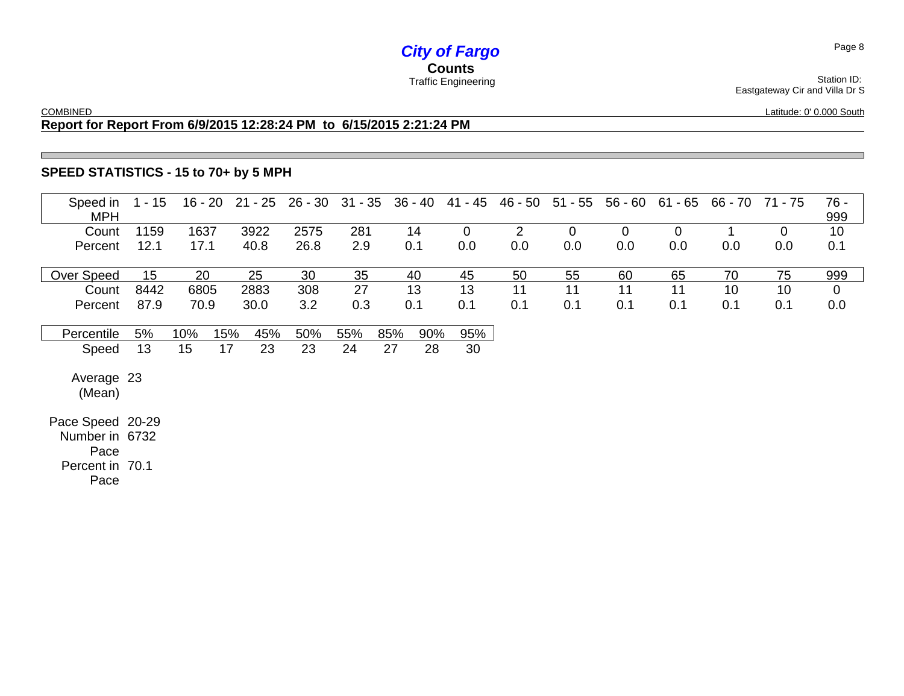# *City of Fargo* **Counts**

COMBINED

Latitude: 0' 0.000 South

Eastgateway Cir and Villa Dr S

### **Report for Report From 6/9/2015 12:28:24 PM to 6/15/2015 2:21:24 PM**

### **SPEED STATISTICS - 15 to 70+ by 5 MPH**

| Speed in<br><b>MPH</b>                                                | $1 - 15$ | 16 - 20 |     | $21 - 25$ | $26 - 30$ 31 - 35 |     |     | $36 - 40$ | 41 - 45     | 46 - 50        | $51 - 55$   | 56 - 60     | 61 - 65     | 66 - 70 | 71 - 75     | 76 -<br>999    |
|-----------------------------------------------------------------------|----------|---------|-----|-----------|-------------------|-----|-----|-----------|-------------|----------------|-------------|-------------|-------------|---------|-------------|----------------|
| Count                                                                 | 1159     | 1637    |     | 3922      | 2575              | 281 |     | 14        | $\mathbf 0$ | $\overline{2}$ | $\mathbf 0$ | $\mathbf 0$ | $\mathbf 0$ |         | $\mathbf 0$ | 10             |
| Percent                                                               | 12.1     | 17.1    |     | 40.8      | 26.8              | 2.9 |     | 0.1       | 0.0         | 0.0            | 0.0         | 0.0         | 0.0         | 0.0     | 0.0         | 0.1            |
| Over Speed                                                            | 15       | 20      |     | 25        | 30                | 35  |     | 40        | 45          | 50             | 55          | 60          | 65          | 70      | 75          | 999            |
| Count                                                                 | 8442     | 6805    |     | 2883      | 308               | 27  |     | 13        | 13          | 11             | 11          | 11          | 11          | 10      | 10          | $\overline{0}$ |
| Percent                                                               | 87.9     | 70.9    |     | 30.0      | 3.2               | 0.3 |     | 0.1       | 0.1         | 0.1            | 0.1         | 0.1         | 0.1         | 0.1     | 0.1         | 0.0            |
| Percentile                                                            | 5%       | 10%     | 15% | 45%       | 50%               | 55% | 85% | 90%       | 95%         |                |             |             |             |         |             |                |
| Speed                                                                 | 13       | 15      | 17  | 23        | 23                | 24  | 27  | 28        | 30          |                |             |             |             |         |             |                |
| Average 23<br>(Mean)                                                  |          |         |     |           |                   |     |     |           |             |                |             |             |             |         |             |                |
| Pace Speed 20-29<br>Number in 6732<br>Pace<br>Percent in 70.1<br>Pace |          |         |     |           |                   |     |     |           |             |                |             |             |             |         |             |                |

Station ID: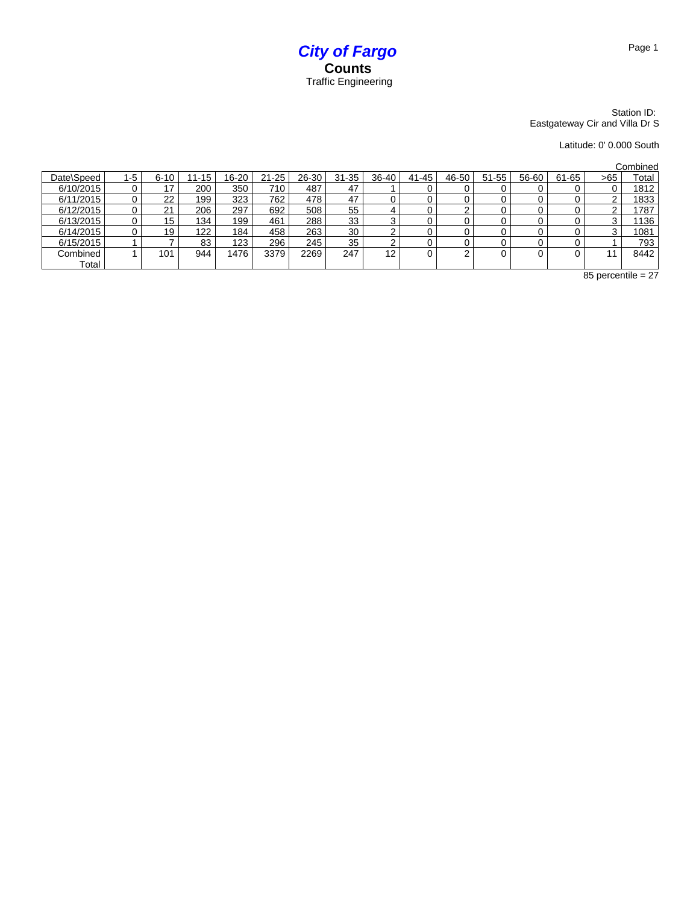

#### Station ID: Eastgateway Cir and Villa Dr S

Latitude: 0' 0.000 South

Combined

| Date\Speed | 1-5 | $6 - 10$ | $11 - 15$ | 16-20 | $21 - 25$ | 26-30 | $31 - 35$ | 36-40 | 41-45 | 46-50 | $51 - 55$ | 56-60 | 61-65 | >65 | ---------<br>Total |
|------------|-----|----------|-----------|-------|-----------|-------|-----------|-------|-------|-------|-----------|-------|-------|-----|--------------------|
| 6/10/2015  |     | 17       | 200       | 350   | 710       | 487   | 47        |       |       |       |           |       |       |     | 1812               |
| 6/11/2015  |     | 22       | 199       | 323   | 762       | 478   | 47        |       |       |       |           |       |       |     | 1833               |
| 6/12/2015  |     | 21       | 206       | 297   | 692       | 508   | 55        | 4     |       |       |           |       |       |     | 1787               |
| 6/13/2015  |     | 15       | 134       | 199   | 461       | 288   | 33        | ີ     |       |       |           |       |       |     | 1136               |
| 6/14/2015  |     | 19       | 122       | 184   | 458       | 263   | 30        |       |       |       |           |       |       |     | 1081               |
| 6/15/2015  |     |          | 83        | 123   | 296       | 245   | 35        | ⌒     |       |       |           |       |       |     | 793                |
| Combined   |     | 101      | 944       | 1476  | 3379      | 2269  | 247       | 12    |       |       |           |       |       |     | 8442               |
| Total      |     |          |           |       |           |       |           |       |       |       |           |       |       |     |                    |

 $85$  percentile = 27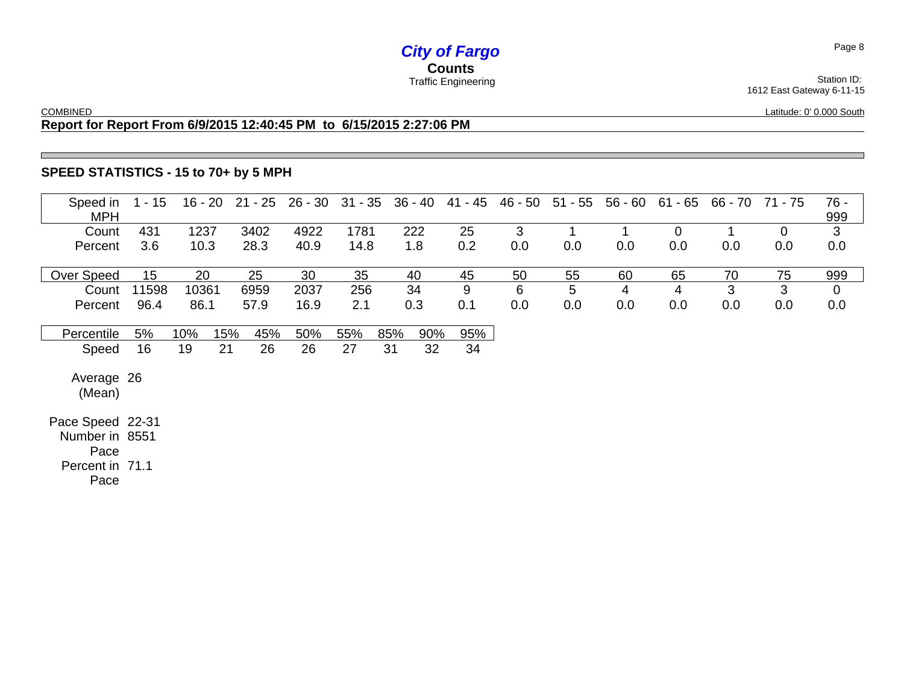# *City of Fargo* **Counts**

**COMBINED** 

1612 East Gateway 6-11-15 Latitude: 0' 0.000 South

### **Report for Report From 6/9/2015 12:40:45 PM to 6/15/2015 2:27:06 PM**

### **SPEED STATISTICS - 15 to 70+ by 5 MPH**

| Speed in<br><b>MPH</b>                                                | $1 - 15$ | $16 - 20$ | $21 - 25$  |      | 26 - 30 31 - 35 | 36 - 40    | 41 - 45 | 46 - 50 | $51 - 55$ | 56 - 60 | $61 - 65$   | 66 - 70 | 71 - 75     | $76 -$<br>999  |
|-----------------------------------------------------------------------|----------|-----------|------------|------|-----------------|------------|---------|---------|-----------|---------|-------------|---------|-------------|----------------|
| Count                                                                 | 431      | 1237      | 3402       | 4922 | 1781            | 222        | 25      | 3       |           |         | $\mathbf 0$ |         | $\mathbf 0$ | 3              |
| Percent                                                               | 3.6      | 10.3      | 28.3       | 40.9 | 14.8            | 1.8        | 0.2     | 0.0     | 0.0       | 0.0     | 0.0         | 0.0     | 0.0         | 0.0            |
| Over Speed                                                            | 15       | 20        | 25         | 30   | 35              | 40         | 45      | 50      | 55        | 60      | 65          | 70      | 75          | 999            |
| Count                                                                 | 11598    | 10361     | 6959       | 2037 | 256             | 34         | 9       | 6       | 5         | 4       | 4           | 3       | 3           | $\overline{0}$ |
| Percent                                                               | 96.4     | 86.1      | 57.9       | 16.9 | 2.1             | 0.3        | 0.1     | 0.0     | 0.0       | 0.0     | 0.0         | 0.0     | 0.0         | 0.0            |
| Percentile                                                            | 5%       | 10%       | 15%<br>45% | 50%  | 55%             | 85%<br>90% | 95%     |         |           |         |             |         |             |                |
| Speed                                                                 | 16       | 19        | 26<br>21   | 26   | 27              | 32<br>31   | 34      |         |           |         |             |         |             |                |
| Average 26<br>(Mean)                                                  |          |           |            |      |                 |            |         |         |           |         |             |         |             |                |
| Pace Speed 22-31<br>Number in 8551<br>Pace<br>Percent in 71.1<br>Pace |          |           |            |      |                 |            |         |         |           |         |             |         |             |                |

Page 8

Station ID: